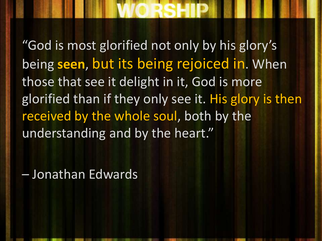# "God is most glorified not only by his glory's being **seen**, but its being rejoiced in. When those that see it delight in it, God is more glorified than if they only see it. His glory is then

received by the whole soul, both by the understanding and by the heart."

– Jonathan Edwards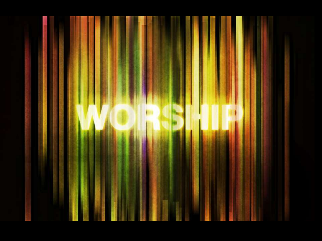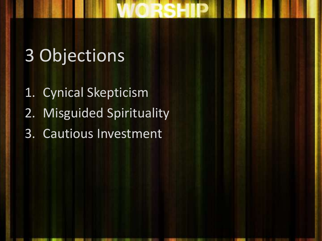# 3 Objections

1. Cynical Skepticism 2. Misguided Spirituality 3. Cautious Investment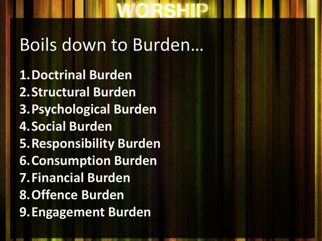### Boils down to Burden…

**1.Doctrinal Burden 2.Structural Burden 3.Psychological Burden 4.Social Burden 5.Responsibility Burden 6.Consumption Burden 7.Financial Burden 8.Offence Burden 9.Engagement Burden**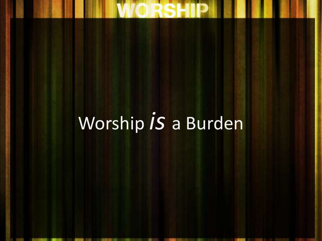# Worship *is* a Burden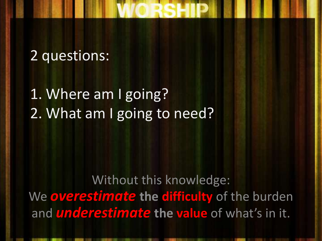### 2 questions:

### 1. Where am I going? 2. What am I going to need?

Without this knowledge: We *overestimate* **the difficulty** of the burden and *underestimate* **the value** of what's in it.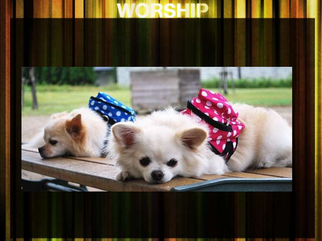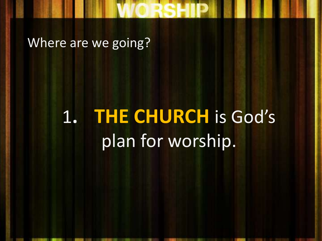Where are we going?

# 1**. THE CHURCH** is God's plan for worship.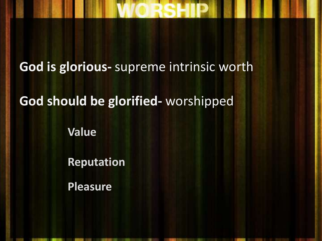

**God should be glorified-** worshipped

**Value**

**Reputation**

**Pleasure**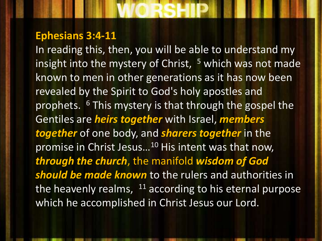#### **Ephesians 3:4-11**

In reading this, then, you will be able to understand my insight into the mystery of Christ,  $5$  which was not made known to men in other generations as it has now been revealed by the Spirit to God's holy apostles and prophets. <sup>6</sup> This mystery is that through the gospel the Gentiles are *heirs together* with Israel, *members together* of one body, and *sharers together* in the promise in Christ Jesus...<sup>10</sup> His intent was that now, *through the church*, the manifold *wisdom of God should be made known* to the rulers and authorities in the heavenly realms,  $11$  according to his eternal purpose which he accomplished in Christ Jesus our Lord.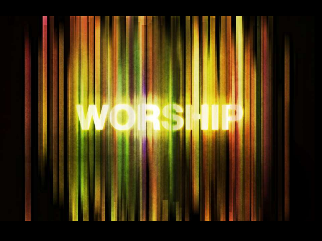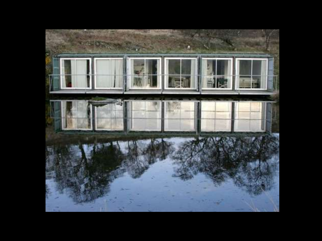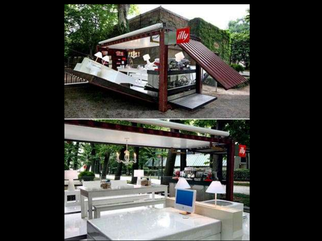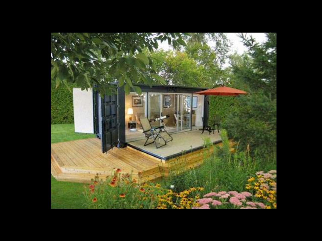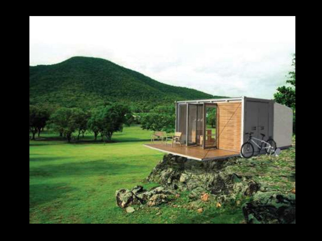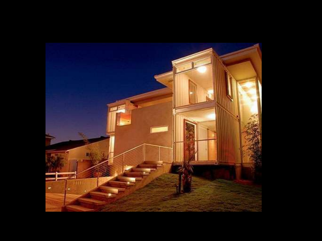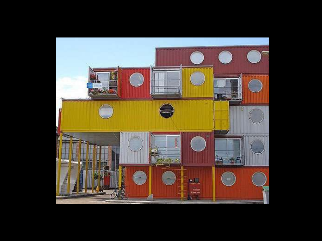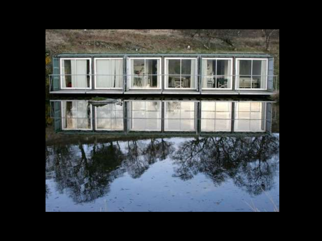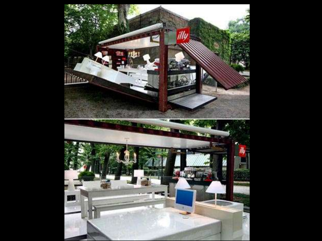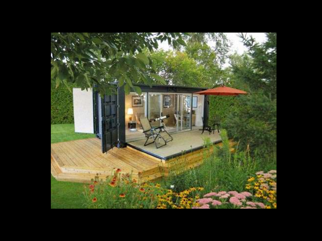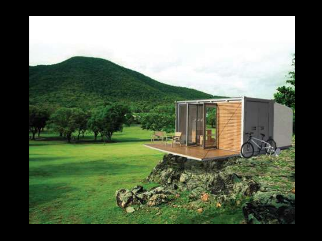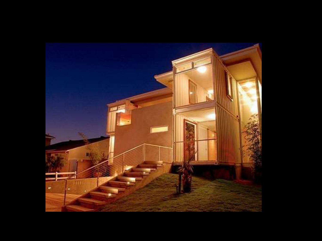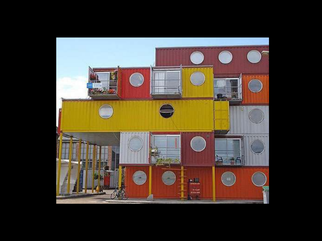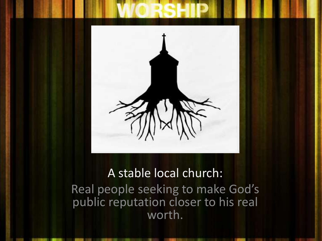

### A stable local church: Real people seeking to make God's public reputation closer to his real worth.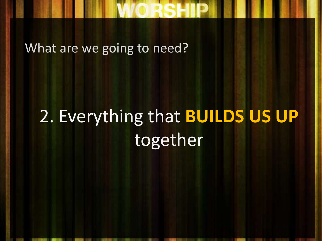What are we going to need?

# 2. Everything that **BUILDS US UP**  together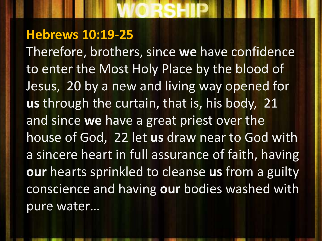### **Hebrews 10:19-25**

Therefore, brothers, since **we** have confidence to enter the Most Holy Place by the blood of Jesus, 20 by a new and living way opened for **us** through the curtain, that is, his body, 21 and since **we** have a great priest over the house of God, 22 let **us** draw near to God with a sincere heart in full assurance of faith, having **our** hearts sprinkled to cleanse **us** from a guilty conscience and having **our** bodies washed with pure water…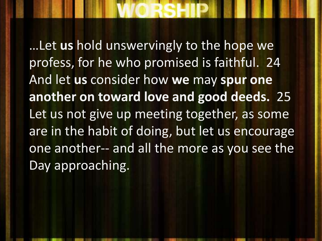…Let **us** hold unswervingly to the hope we profess, for he who promised is faithful. 24 And let **us** consider how **we** may **spur one another on toward love and good deeds.** 25 Let us not give up meeting together, as some are in the habit of doing, but let us encourage one another-- and all the more as you see the Day approaching.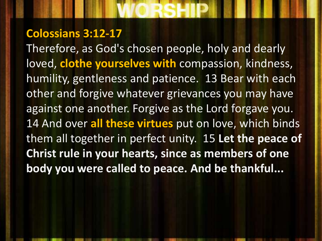#### **Colossians 3:12-17**

Therefore, as God's chosen people, holy and dearly loved, **clothe yourselves with** compassion, kindness, humility, gentleness and patience. 13 Bear with each other and forgive whatever grievances you may have against one another. Forgive as the Lord forgave you. 14 And over **all these virtues** put on love, which binds them all together in perfect unity. 15 **Let the peace of Christ rule in your hearts, since as members of one body you were called to peace. And be thankful...**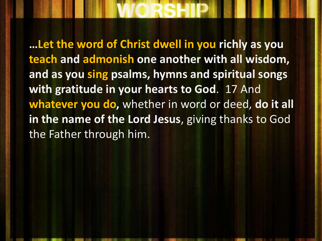**…Let the word of Christ dwell in you richly as you teach and admonish one another with all wisdom, and as you sing psalms, hymns and spiritual songs with gratitude in your hearts to God**. 17 And **whatever you do,** whether in word or deed, **do it all in the name of the Lord Jesus**, giving thanks to God the Father through him.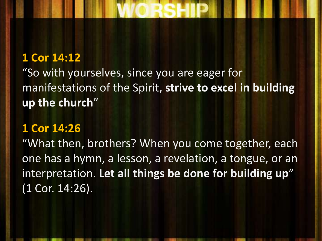#### **1 Cor 14:12**

"So with yourselves, since you are eager for manifestations of the Spirit, **strive to excel in building up the church**"

#### **1 Cor 14:26**

"What then, brothers? When you come together, each one has a hymn, a lesson, a revelation, a tongue, or an interpretation. **Let all things be done for building up**" (1 Cor. 14:26).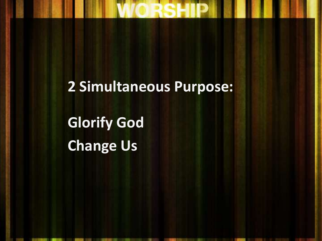### **2 Simultaneous Purpose:**

**Glorify God Change Us**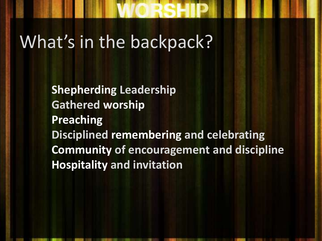## What's in the backpack?

**Shepherding Leadership Gathered worship Preaching Disciplined remembering and celebrating Community of encouragement and discipline Hospitality and invitation**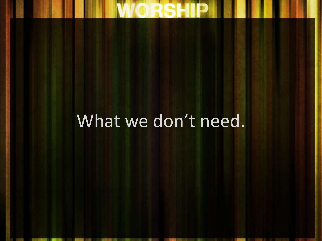# What we don't need.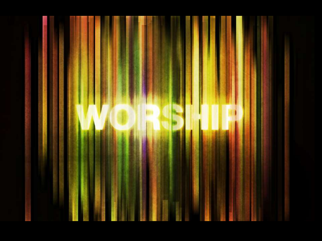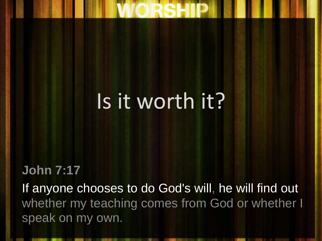# Is it worth it?

### **John 7:17**  If anyone chooses to do God's will, he will find out whether my teaching comes from God or whether I speak on my own.